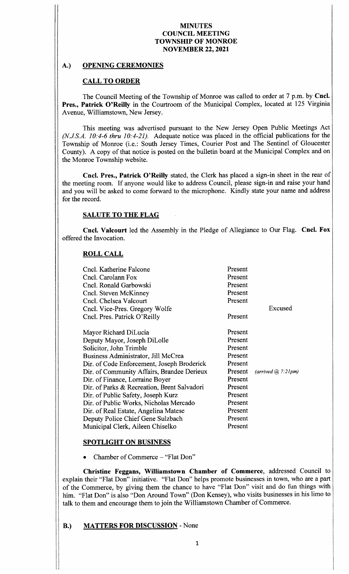# A.) OPENING CEREMONIES

# CALL TO ORDER

The Council Meeting of the Township of Monroe was called to order at <sup>7</sup> p.m. by Cncl. Pres., Patrick O'Reilly in the Courtroom of the Municipal Complex, located at 125 Virginia Avenue, Williamstown, New Jersey.

This meeting was advertised pursuant to the New Jersey Open Public Meetings Act  $(N.J.S.A. 10: 4-6$  thru  $10: 4-21$ ). Adequate notice was placed in the official publications for the Township of Monroe (i.e.: South Jersey Times, Courier Post and The Sentinel of Gloucester County). A copy of that notice is posted on the bulletin board at the Municipal Complex and on the Monroe Township website.

Cncl. Pres., Patrick O'Reilly stated, the Clerk has placed a sign-in sheet in the rear of the meeting room. If anyone would like to address Council, please sign- in and raise your hand and you will be asked to come forward to the microphone. Kindly state your name and address for the record.

## SALUTE TO THE FLAG

Cncl. Valcourt led the Assembly in the Pledge of Allegiance to Our Flag. Cncl. Fox offered the Invocation.

## ROLL CALL

| Cncl. Katherine Falcone<br>Cncl. Carolann Fox<br>Cncl. Ronald Garbowski<br>Cncl. Steven McKinney<br>Cncl. Chelsea Valcourt<br>Cncl. Vice-Pres. Gregory Wolfe<br>Cncl. Pres. Patrick O'Reilly                                                                                                                                                                                                                                                                                                           | Present<br>Present<br>Present<br>Present<br>Present<br>Present                                                                              | Excused               |
|--------------------------------------------------------------------------------------------------------------------------------------------------------------------------------------------------------------------------------------------------------------------------------------------------------------------------------------------------------------------------------------------------------------------------------------------------------------------------------------------------------|---------------------------------------------------------------------------------------------------------------------------------------------|-----------------------|
| Mayor Richard DiLucia<br>Deputy Mayor, Joseph DiLolle<br>Solicitor, John Trimble<br>Business Administrator, Jill McCrea<br>Dir. of Code Enforcement, Joseph Broderick<br>Dir. of Community Affairs, Brandee Derieux<br>Dir. of Finance, Lorraine Boyer<br>Dir. of Parks & Recreation, Brent Salvadori<br>Dir. of Public Safety, Joseph Kurz<br>Dir. of Public Works, Nicholas Mercado<br>Dir. of Real Estate, Angelina Matese<br>Deputy Police Chief Gene Sulzbach<br>Municipal Clerk, Aileen Chiselko | Present<br>Present<br>Present<br>Present<br>Present<br>Present<br>Present<br>Present<br>Present<br>Present<br>Present<br>Present<br>Present | (arrived (a) 7.21 pm) |

## SPOTLIGHT ON BUSINESS

Chamber of Commerce - "Flat Don"

Christine Feggans, Williamstown Chamber of Commerce, addressed Council to explain their "Flat Don" initiative. "Flat Don" helps promote businesses in town, who are a part of the Commerce, by giving them the chance to have "Flat Don" visit and do fun things with him. "Flat Don" is also "Don Around Town" (Don Kensey), who visits businesses in his limo to talk to them and encourage them to join the Williamstown Chamber of Commerce.

# B.) MATTERS FOR DISCUSSION - None

I

iI

ii

t.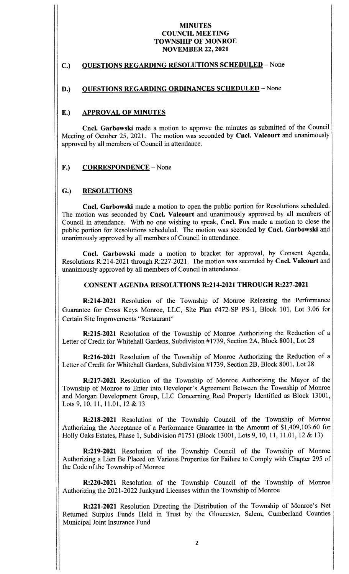## C.) QUESTIONS REGARDING RESOLUTIONS SCHEDULED - None

## D.) QUESTIONS REGARDING ORDINANCES SCHEDULED - None

#### E.) APPROVAL OF MINUTES

Cncl. Garbowski made <sup>a</sup> motion to approve the minutes as submitted of the Council Meeting of October 25, 2021. The motion was seconded by Cncl. Valcourt and unanimously approved by all members of Council in attendance.

#### F.) CORRESPONDENCE – None

## G.) RESOLUTIONS

i li

Cncl. Garbowski made a motion to open the public portion for Resolutions scheduled. The motion was seconded by Cncl. Valcourt and unanimously approved by all members of Council in attendance. With no one wishing to speak, Cncl. Fox made <sup>a</sup> motion to close the public portion for Resolutions scheduled. The motion was seconded by Cncl. Garbowski and unanimously approved by all members of Council in attendance.

Cncl. Garbowski made <sup>a</sup> motion to bracket for approval, by Consent Agenda, Resolutions R:214-2021 through R:227-2021. The motion was seconded by Cncl. Valcourt and unanimously approved by all members of Council in attendance.

#### CONSENT AGENDA RESOLUTIONS R:214-2021 THROUGH R:227-2021

R: 214-2021 Resolution of the Township of Monroe Releasing the Performance Guarantee for Cross Keys Monroe, LLC, Site Plan #472-SP PS-1, Block 101, Lot 3.06 for Certain Site Improvements "Restaurant"

R:215- 2021 Resolution of the Township of Monroe Authorizing the Reduction of <sup>a</sup> Letter of Credit for Whitehall Gardens, Subdivision #1739, Section 2A, Block 8001, Lot 28

R:216-2021 Resolution of the Township of Monroe Authorizing the Reduction of <sup>a</sup> Letter of Credit for Whitehall Gardens, Subdivision #1739, Section 2B, Block 8001, Lot 28

R:217-2021 Resolution of the Township of Monroe Authorizing the Mayor of the Township of Monroe to Enter into Developer's Agreement Between the Township of Monroe and Morgan Development Group, LLC Concerning Real Property Identified as Block 13001, Lots 9, 10, 11, 11.01, 12 & 13

R:218- 2021 Resolution of the Township Council of the Township of Monroe Authorizing the Acceptance of a Performance Guarantee in the Amount of \$1,409,103.60 for Holly Oaks Estates, Phase 1, Subdivision #1751 (Block 13001, Lots 9, 10, 11, 11.01, 12 & 13)

R:219-2021 Resolution of the Township Council of the Township of Monroe Authorizing a Lien Be Placed on Various Properties for Failure to Comply with Chapter 295 of the Code of the Township of Monroe

R:220-2021 Resolution of the Township Council of the Township of Monroe Authorizing the 2021-2022 Junkyard Licenses within the Township of Monroe

R:221-2021 Resolution Directing the Distribution of the Township of Monroe's Net Returned Surplus Funds Held in Trust by the Gloucester, Salem, Cumberland Counties Municipal Joint Insurance Fund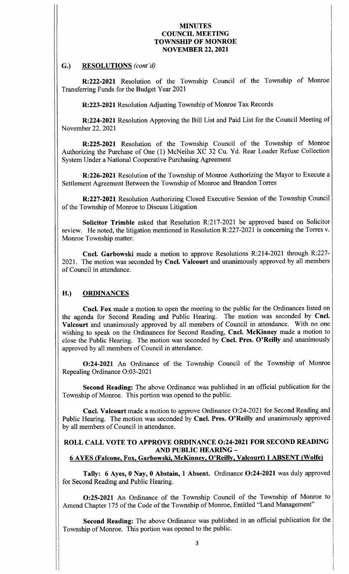## G.) RESOLUTIONS (cont'd)

R:222- 2021 Resolution of the Township Council of the Township of Monroe Transferring Funds for the Budget Year 2021

R:223- 2021 Resolution Adjusting Township of Monroe Tax Records

R:224-2021 Resolution Approving the Bill List and Paid List for the Council Meeting of November 22, 2021

R:225- 2021 Resolution of the Township Council of the Township of Monroe Authorizing the Purchase of One (1) McNeilus XC 32 Cu. Yd. Rear Loader Refuse Collection System Under a National Cooperative Purchasing Agreement

R: 226-2021 Resolution of the Township of Monroe Authorizing the Mayor to Execute a Settlement Agreement Between the Township of Monroe and Brandon Torres

R:227- 2021 Resolution Authorizing Closed Executive Session of the Township Council of the Township of Monroe to Discuss Litigation

Solicitor Trimble asked that Resolution R:217-2021 be approved based on Solicitor review. He noted, the litigation mentioned in Resolution R:227-2021 is concerning the Torres v. Monroe Township matter.

Cncl. Garbowski made a motion to approve Resolutions R:214-2021 through R:227-2021. The motion was seconded by Cncl. Valcourt and unanimously approved by all members of Council in attendance.

# H.) ORDINANCES

111

II f  $\mathbf i$ 

Cncl. Fox made a motion to open the meeting to the public for the Ordinances listed on enda for Second Reading and Public Hearing. The motion was seconded by Cncl. the agenda for Second Reading and Public Hearing. Valcourt and unanimously approved by all members of Council in attendance. With no one wishing to speak on the Ordinances for Second Reading, Cncl. McKinney made a motion to close the Public Hearing. The motion was seconded by Cncl. Pres. O' Reilly and unanimously approved by all members of Council in attendance.

0:24-2021 An Ordinance of the Township Council of the Township of Monroe Repealing Ordinance O:03-2021

Second Reading: The above Ordinance was published in an official publication for the Township of Monroe. This portion was opened to the public.

Cncl. Valcourt made a motion to approve Ordinance O:24-2021 for Second Reading and Public Hearing. The motion was seconded by Cncl. Pres. O'Reilly and unanimously approved by all members of Council in attendance.

## ROLL CALL VOTE TO APPROVE ORDINANCE 0:24-2021 FOR SECOND READING AND PUBLIC HEARING— 6 AYES (Falcone, Fox, Garbowski, McKinney, O' Reilly, Valcourt) 1 ABSENT (Wolfe)

Tally: 6 Ayes, 0 Nay, 0 Abstain, 1 Absent. Ordinance O:24-2021 was duly approved for Second Reading and Public Hearing.

0:25- <sup>2021</sup> An Ordinance of the Township Council of the Township of Monroe to Amend Chapter 175 of the Code of the Township of Monroe, Entitled "Land Management"

Second Reading: The above Ordinance was published in an official publication for the Township of Monroe. This portion was opened to the public.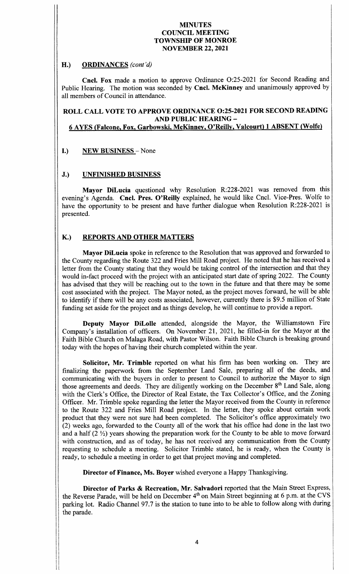## H.) ORDINANCES (cont'd)

Cncl. Fox made a motion to approve Ordinance O:25-2021 for Second Reading and Public Hearing. The motion was seconded by Cncl. McKinney and unanimously approved by all members of Council in attendance.

# ROLL CALL VOTE TO APPROVE ORDINANCE 0:25-2021 FOR SECOND READING AND PUBLIC HEARING—

# 6 AYES ( Falcone, Fox, Garbowski, McKinney, O' Reilly, Valcourt) 1 ABSENT ( Wolfe)

# I.) NEW BUSINESS - None

## J.) UNFINISHED BUSINESS

s1

Mayor DiLucia questioned why Resolution R:228-2021 was removed from this evening's Agenda. Cncl. Pres. O'Reilly explained, he would like Cncl. Vice-Pres. Wolfe to have the opportunity to be present and have further dialogue when Resolution R:228-2021 is presented.

# K.) REPORTS AND OTHER MATTERS

Mayor DiLucia spoke in reference to the Resolution that was approved and forwarded to the County regarding the Route 322 and Fries Mill Road project. He noted that he has received a letter from the County stating that they would be taking control of the intersection and that they would in-fact proceed with the project with an anticipated start date of spring 2022. The County has advised that they will be reaching out to the town in the future and that there may be some cost associated with the project. The Mayor noted, as the project moves forward, he will be able to identify if there will be any costs associated, however, currently there is \$9.5 million of State funding set aside for the project and as things develop, he will continue to provide a report.

Deputy Mayor DiLolle attended, alongside the Mayor, the Williamstown Fire Company's installation of officers. On November 21, 2021, he filled-in for the Mayor at the Faith Bible Church on Malaga Road, with Pastor Wilson. Faith Bible Church is breaking ground today with the hopes of having their church completed within the year.

Solicitor, Mr. Trimble reported on what his firm has been working on. They are finalizing the paperwork from the September Land Sale, preparing all of the deeds, and communicating with the buyers in order to present to Council to authorize the Mayor to sign those agreements and deeds. They are diligently working on the December 8<sup>th</sup> Land Sale, along with the Clerk's Office, the Director of Real Estate, the Tax Collector's Office, and the Zoning Officer. Mr. Trimble spoke regarding the letter the Mayor received from the County in reference to the Route <sup>322</sup> and Fries Mill Road project. In the letter, they spoke about certain work product that they were not sure had been completed. The Solicitor's office approximately two 2) weeks ago, forwarded to the County all of the work that his office had done in the last two and a half  $(2 \frac{1}{2})$  years showing the preparation work for the County to be able to move forward with construction, and as of today, he has not received any communication from the County requesting to schedule <sup>a</sup> meeting. Solicitor Trimble stated, he is ready, when the County is ready, to schedule a meeting in order to get that project moving and completed.

Director of Finance, Ms. Boyer wished everyone <sup>a</sup> Happy Thanksgiving.

Director of Parks & Recreation, Mr. Salvadori reported that the Main Street Express, the Reverse Parade, will be held on December 4<sup>th</sup> on Main Street beginning at 6 p.m. at the CVS parking lot. Radio Channel 97.7 is the station to tune into to be able to follow along with during the parade.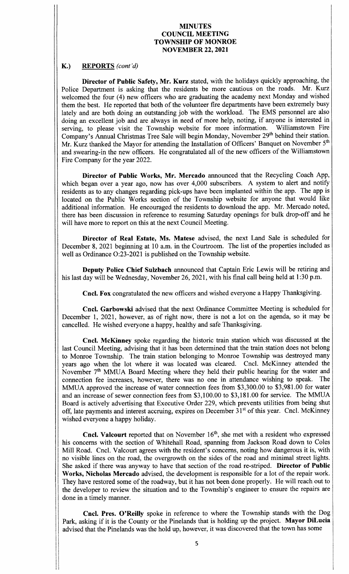## K.) REPORTS (cont'd)

ii

Director of Public Safety, Mr. Kurz stated, with the holidays quickly approaching, the Department is asking that the residents be more cautious on the roads. Mr. Kurz Police Department is asking that the residents be more cautious on the roads. welcomed the four (4) new officers who are graduating the academy next Monday and wished them the best. He reported that both of the volunteer fire departments have been extremely busy lately and are both doing an outstanding job with the workload. The EMS personnel are also doing an excellent job and are always in need of more help, noting, if anyone is interested in serving, to please visit the Township website for more information. Williamstown Fire serving, to please visit the Township website for more information. Company's Annual Christmas Tree Sale will begin Monday, November 29<sup>th</sup> behind their station. Mr. Kurz thanked the Mayor for attending the Installation of Officers' Banquet on November 5<sup>th</sup> and swearing-in the new officers. He congratulated all of the new officers of the Williamstown Fire Company for the year 2022.

Director of Public Works, Mr. Mercado announced that the Recycling Coach App, which began over a year ago, now has over 4,000 subscribers. A system to alert and notify residents as to any changes regarding pick-ups have been implanted within the app. The app is located on the Public Works section of the Township website for anyone that would like additional information. He encouraged the residents to download the app. Mr. Mercado noted, there has been discussion in reference to resuming Saturday openings for bulk drop-off and he will have more to report on this at the next Council Meeting.

Director of Real Estate, Ms. Matese advised, the next Land Sale is scheduled for December 8, 2021 beginning at 10 a.m. in the Courtroom. The list of the properties included as well as Ordinance O:23-2021 is published on the Township website.

Deputy Police Chief Sulzbach announced that Captain Eric Lewis will be retiring and his last day will be Wednesday, November 26, 2021, with his final call being held at 1:30 p.m.

Cncl. Fox congratulated the new officers and wished everyone a Happy Thanksgiving.

Cncl. Garbowski advised that the next Ordinance Committee Meeting is scheduled for December 1, 2021, however, as of right now, there is not <sup>a</sup> lot on the agenda, so it may be cancelled. He wished everyone a happy, healthy and safe Thanksgiving.

Cncl. McKinney spoke regarding the historic train station which was discussed at the last Council Meeting, advising that it has been determined that the train station does not belong to Monroe Township. The train station belonging to Monroe Township was destroyed many years ago when the lot where it was located was cleared. Cncl. McKinney attended the November 7<sup>th</sup> MMUA Board Meeting where they held their public hearing for the water and connection fee increases however there was no one in attendance wishing to speak. The connection fee increases, however, there was no one in attendance wishing to speak. MMUA approved the increase of water connection fees from \$3,300.00 to \$3,981.00 for water and an increase of sewer connection fees from \$3,100.00 to \$3,181.00 for service. The MMUA Board is actively advertising that Executive Order 229, which prevents utilities from being shut off, late payments and interest accruing, expires on December 31<sup>st</sup> of this year. Cncl. McKinney wished everyone a happy holiday.

**Cncl. Valcourt** reported that on November  $16<sup>th</sup>$ , she met with a resident who expressed his concerns with the section of Whitehall Road, spanning from Jackson Road down to Coles Mill Road. Cncl. Valcourt agrees with the resident's concerns, noting how dangerous it is, with no visible lines on the road, the overgrowth on the sides of the road and minimal street lights. She asked if there was anyway to have that section of the road re-striped. Director of Public Works, Nicholas Mercado advised, the development is responsible for <sup>a</sup> lot of the repair work. They have restored some of the roadway, but it has not been done properly. He will reach out to the developer to review the situation and to the Township's engineer to ensure the repairs are done in a timely manner.

Cncl. Pres. O'Reilly spoke in reference to where the Township stands with the Dog Park, asking if it is the County or the Pinelands that is holding up the project. Mayor DiLucia advised that the Pinelands was the hold up, however, it was discovered that the town has some